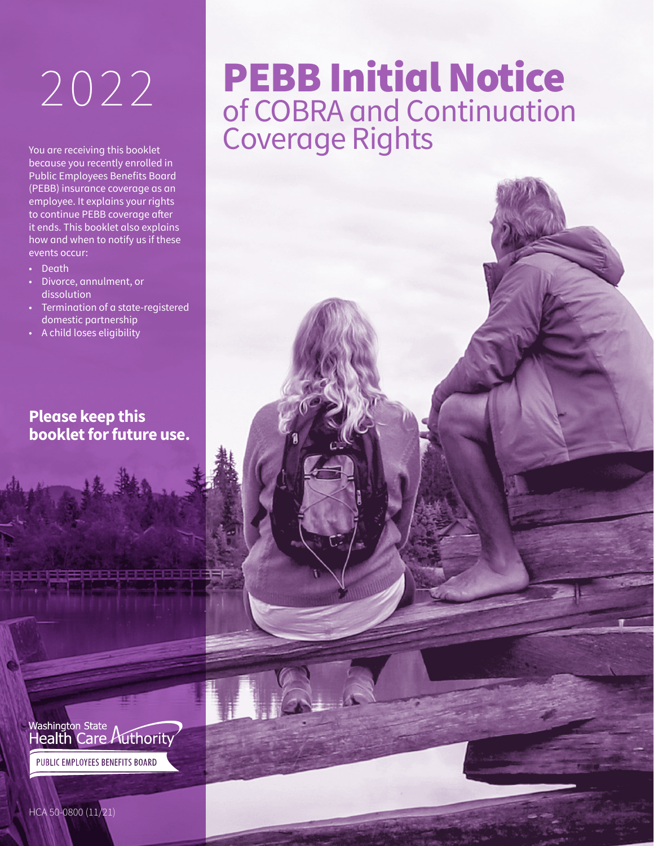You are receiving this booklet because you recently enrolled in Public Employees Benefits Board (PEBB) insurance coverage as an employee. It explains your rights to continue PEBB coverage after it ends. This booklet also explains how and when to notify us if these events occur:

- Death
- Divorce, annulment, or dissolution
- Termination of a state-registered domestic partnership
- A child loses eligibility

### **Please keep this booklet for future use.**



## PEBB Initial Notice 2022 PEBB Initial Notice Coverage Rights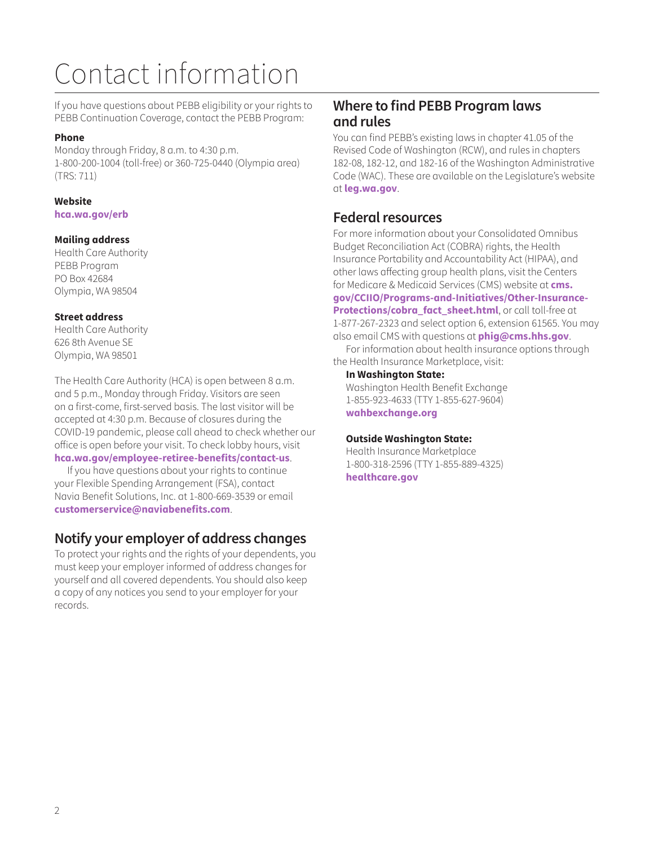# Contact information

If you have questions about PEBB eligibility or your rights to PEBB Continuation Coverage, contact the PEBB Program:

#### **Phone**

Monday through Friday, 8 a.m. to 4:30 p.m. 1-800-200-1004 (toll-free) or 360-725-0440 (Olympia area) (TRS: 711)

### **Website**

**[hca.wa.gov/erb](http://hca.wa.gov/erb)**

### **Mailing address**

Health Care Authority PEBB Program PO Box 42684 Olympia, WA 98504

### **Street address**

Health Care Authority 626 8th Avenue SE Olympia, WA 98501

The Health Care Authority (HCA) is open between 8 a.m. and 5 p.m., Monday through Friday. Visitors are seen on a first-come, first-served basis. The last visitor will be accepted at 4:30 p.m. Because of closures during the COVID-19 pandemic, please call ahead to check whether our office is open before your visit. To check lobby hours, visit **[hca.wa.gov/employee-retiree-benefits/contact-us](http://hca.wa.gov/employee-retiree-benefits/contact-us)**.

If you have questions about your rights to continue your Flexible Spending Arrangement (FSA), contact Navia Benefit Solutions, Inc. at 1-800-669-3539 or email **[customerservice@naviabenefits.com](mailto:customerservice@naviabenefits.com)**.

### **Notify your employer of address changes**

To protect your rights and the rights of your dependents, you must keep your employer informed of address changes for yourself and all covered dependents. You should also keep a copy of any notices you send to your employer for your records.

### **Where to find PEBB Program laws and rules**

You can find PEBB's existing laws in chapter 41.05 of the Revised Code of Washington (RCW), and rules in chapters 182-08, 182-12, and 182-16 of the Washington Administrative Code (WAC). These are available on the Legislature's website at **l[eg.wa.gov](http://leg.wa.gov)**.

### **Federal resources**

For more information about your Consolidated Omnibus Budget Reconciliation Act (COBRA) rights, the Health Insurance Portability and Accountability Act (HIPAA), and other laws affecting group health plans, visit the Centers for Medicare & Medicaid Services (CMS) website at **cms. gov/CCIIO/Programs-and-Initiatives/Other-Insurance-Protections/cobra\_fact\_sheet.html**, or call toll-free at 1-877-267-2323 and select option 6, extension 61565. You may also email CMS with questions at **[phig@cms.hhs.gov](mailto:phig@cms.hhs.gov)**. For information about health insurance options through the Health Insurance Marketplace, visit:

**In Washington State:** 

Washington Health Benefit Exchange 1-855-923-4633 (TTY 1-855-627-9604) **[wahbexchange.org](http://wahbexchange.org)**

### **Outside Washington State:**

Health Insurance Marketplace 1-800-318-2596 (TTY 1-855-889-4325) **[healthcare.gov](http://healthcare.gov)**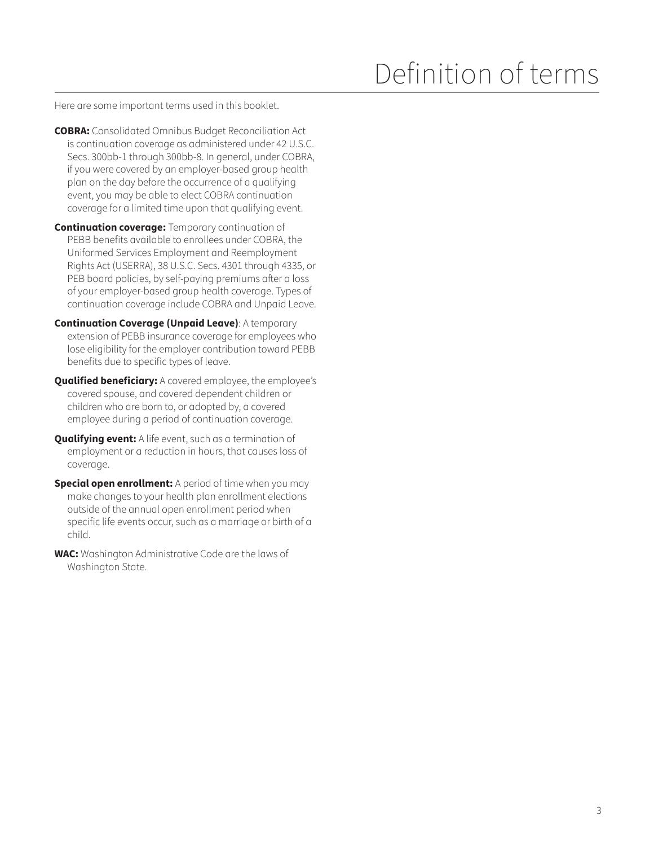# Definition of terms

Here are some important terms used in this booklet.

- **COBRA:** Consolidated Omnibus Budget Reconciliation Act is continuation coverage as administered under 42 U.S.C. Secs. 300bb-1 through 300bb-8. In general, under COBRA, if you were covered by an employer-based group health plan on the day before the occurrence of a qualifying event, you may be able to elect COBRA continuation coverage for a limited time upon that qualifying event.
- **Continuation coverage:** Temporary continuation of PEBB benefits available to enrollees under COBRA, the Uniformed Services Employment and Reemployment Rights Act (USERRA), 38 U.S.C. Secs. 4301 through 4335, or PEB board policies, by self-paying premiums after a loss of your employer-based group health coverage. Types of continuation coverage include COBRA and Unpaid Leave.
- **Continuation Coverage (Unpaid Leave)**: A temporary extension of PEBB insurance coverage for employees who lose eligibility for the employer contribution toward PEBB benefits due to specific types of leave.
- **Qualified beneficiary:** A covered employee, the employee's covered spouse, and covered dependent children or children who are born to, or adopted by, a covered employee during a period of continuation coverage.
- **Qualifying event:** A life event, such as a termination of employment or a reduction in hours, that causes loss of coverage.
- **Special open enrollment:** A period of time when you may make changes to your health plan enrollment elections outside of the annual open enrollment period when specific life events occur, such as a marriage or birth of a child.
- **WAC:** Washington Administrative Code are the laws of Washington State.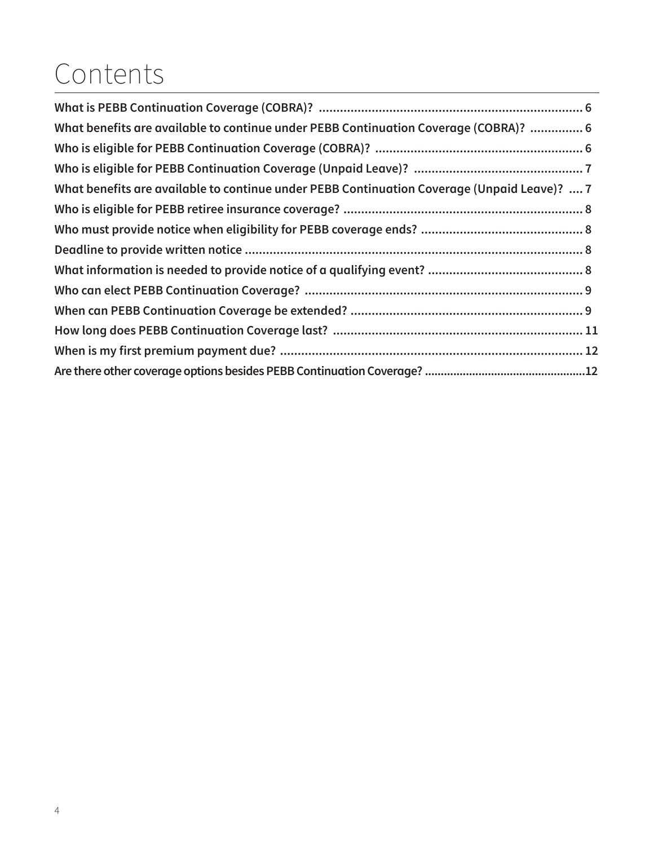# Contents

| What benefits are available to continue under PEBB Continuation Coverage (COBRA)?  6        |  |
|---------------------------------------------------------------------------------------------|--|
|                                                                                             |  |
|                                                                                             |  |
| What benefits are available to continue under PEBB Continuation Coverage (Unpaid Leave)?  7 |  |
|                                                                                             |  |
|                                                                                             |  |
|                                                                                             |  |
|                                                                                             |  |
|                                                                                             |  |
|                                                                                             |  |
|                                                                                             |  |
|                                                                                             |  |
|                                                                                             |  |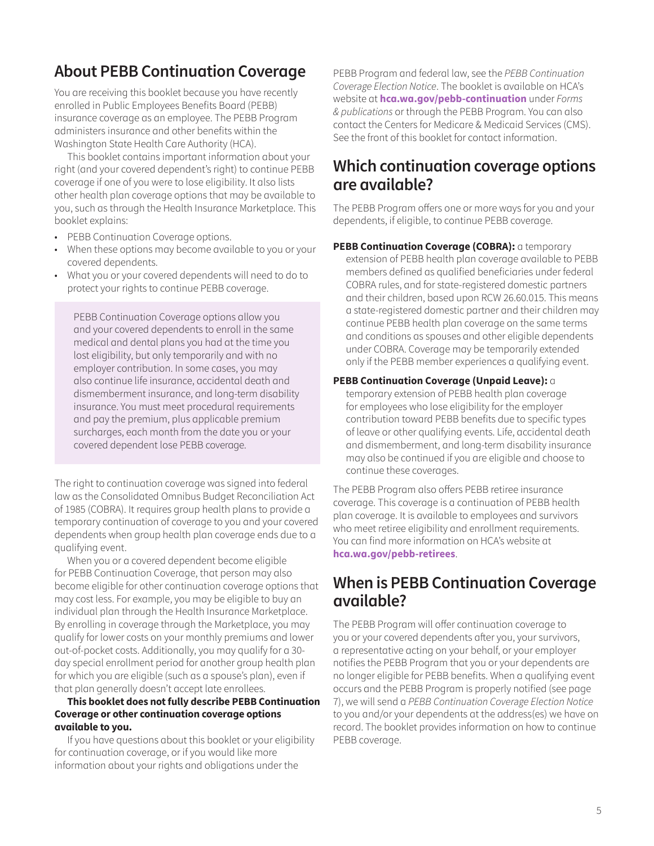### **About PEBB Continuation Coverage**

You are receiving this booklet because you have recently enrolled in Public Employees Benefits Board (PEBB) insurance coverage as an employee. The PEBB Program administers insurance and other benefits within the Washington State Health Care Authority (HCA).

This booklet contains important information about your right (and your covered dependent's right) to continue PEBB coverage if one of you were to lose eligibility. It also lists other health plan coverage options that may be available to you, such as through the Health Insurance Marketplace. This booklet explains:

- PEBB Continuation Coverage options.
- When these options may become available to you or your covered dependents.
- What you or your covered dependents will need to do to protect your rights to continue PEBB coverage.

PEBB Continuation Coverage options allow you and your covered dependents to enroll in the same medical and dental plans you had at the time you lost eligibility, but only temporarily and with no employer contribution. In some cases, you may also continue life insurance, accidental death and dismemberment insurance, and long-term disability insurance. You must meet procedural requirements and pay the premium, plus applicable premium surcharges, each month from the date you or your covered dependent lose PEBB coverage.

The right to continuation coverage was signed into federal law as the Consolidated Omnibus Budget Reconciliation Act of 1985 (COBRA). It requires group health plans to provide a temporary continuation of coverage to you and your covered dependents when group health plan coverage ends due to a qualifying event.

When you or a covered dependent become eligible for PEBB Continuation Coverage, that person may also become eligible for other continuation coverage options that may cost less. For example, you may be eligible to buy an individual plan through the Health Insurance Marketplace. By enrolling in coverage through the Marketplace, you may qualify for lower costs on your monthly premiums and lower out-of-pocket costs. Additionally, you may qualify for a 30 day special enrollment period for another group health plan for which you are eligible (such as a spouse's plan), even if that plan generally doesn't accept late enrollees.

#### **This booklet does not fully describe PEBB Continuation Coverage or other continuation coverage options available to you.**

If you have questions about this booklet or your eligibility for continuation coverage, or if you would like more information about your rights and obligations under the

PEBB Program and federal law, see the *PEBB Continuation Coverage Election Notice*. The booklet is available on HCA's website at **[hca.wa.gov/pebb-continuation](http://hca.wa.gov/pebb-continuation)** under *Forms & publications* or through the PEBB Program. You can also contact the Centers for Medicare & Medicaid Services (CMS). See the front of this booklet for contact information.

### **Which continuation coverage options are available?**

The PEBB Program offers one or more ways for you and your dependents, if eligible, to continue PEBB coverage.

**PEBB Continuation Coverage (COBRA):** a temporary extension of PEBB health plan coverage available to PEBB members defined as qualified beneficiaries under federal COBRA rules, and for state-registered domestic partners and their children, based upon RCW 26.60.015. This means a state-registered domestic partner and their children may continue PEBB health plan coverage on the same terms and conditions as spouses and other eligible dependents under COBRA. Coverage may be temporarily extended only if the PEBB member experiences a qualifying event.

#### **PEBB Continuation Coverage (Unpaid Leave):** a

temporary extension of PEBB health plan coverage for employees who lose eligibility for the employer contribution toward PEBB benefits due to specific types of leave or other qualifying events. Life, accidental death and dismemberment, and long-term disability insurance may also be continued if you are eligible and choose to continue these coverages.

The PEBB Program also offers PEBB retiree insurance coverage. This coverage is a continuation of PEBB health plan coverage. It is available to employees and survivors who meet retiree eligibility and enrollment requirements. You can find more information on HCA's website at **[hca.wa.gov/pebb-retirees](http://hca.wa.gov/pebb-retirees)**.

### **When is PEBB Continuation Coverage available?**

The PEBB Program will offer continuation coverage to you or your covered dependents after you, your survivors, a representative acting on your behalf, or your employer notifies the PEBB Program that you or your dependents are no longer eligible for PEBB benefits. When a qualifying event occurs and the PEBB Program is properly notified (see page 7), we will send a *PEBB Continuation Coverage Election Notice* to you and/or your dependents at the address(es) we have on record. The booklet provides information on how to continue PEBB coverage.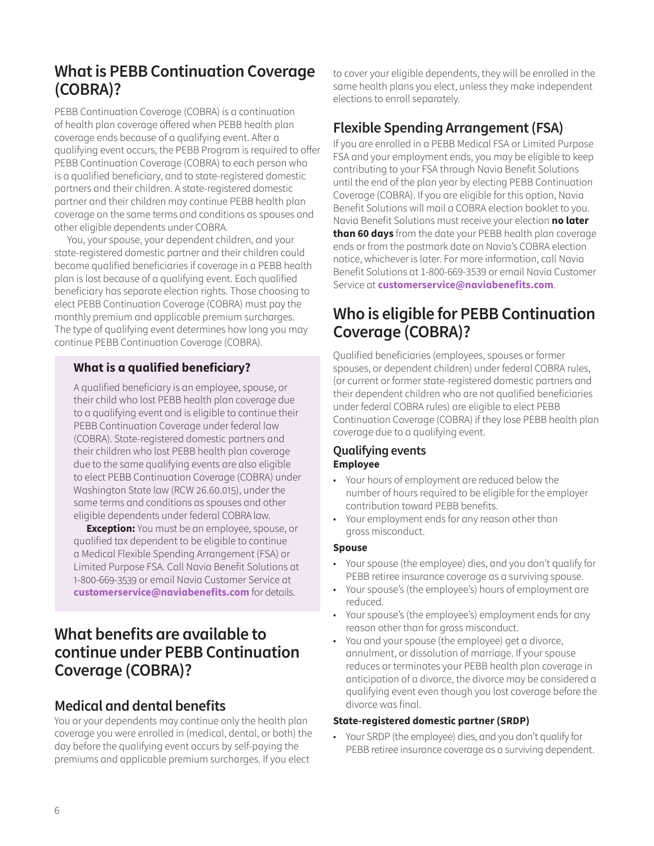### <span id="page-5-0"></span>**What is PEBB Continuation Coverage (COBRA)?**

PEBB Continuation Coverage (COBRA) is a continuation of health plan coverage offered when PEBB health plan coverage ends because of a qualifying event. After a qualifying event occurs, the PEBB Program is required to offer PEBB Continuation Coverage (COBRA) to each person who is a qualified beneficiary, and to state-registered domestic partners and their children. A state-registered domestic partner and their children may continue PEBB health plan coverage on the same terms and conditions as spouses and other eligible dependents under COBRA.

You, your spouse, your dependent children, and your state-registered domestic partner and their children could become qualified beneficiaries if coverage in a PEBB health plan is lost because of a qualifying event. Each qualified beneficiary has separate election rights. Those choosing to elect PEBB Continuation Coverage (COBRA) must pay the monthly premium and applicable premium surcharges. The type of qualifying event determines how long you may continue PEBB Continuation Coverage (COBRA).

### **What is a qualified beneficiary?**

A qualified beneficiary is an employee, spouse, or their child who lost PEBB health plan coverage due to a qualifying event and is eligible to continue their PEBB Continuation Coverage under federal law (COBRA). State-registered domestic partners and their children who lost PEBB health plan coverage due to the same qualifying events are also eligible to elect PEBB Continuation Coverage (COBRA) under Washington State law (RCW 26.60.015), under the same terms and conditions as spouses and other eligible dependents under federal COBRA law.

**Exception:** You must be an employee, spouse, or qualified tax dependent to be eligible to continue a Medical Flexible Spending Arrangement (FSA) or Limited Purpose FSA. Call Navia Benefit Solutions at 1-800-669-3539 or email Navia Customer Service at **[customerservice@naviabenefits.com](mailto:customerservice%40naviabenefits.com?subject=)** for details.

### **What benefits are available to continue under PEBB Continuation Coverage (COBRA)?**

### **Medical and dental benefits**

You or your dependents may continue only the health plan coverage you were enrolled in (medical, dental, or both) the day before the qualifying event occurs by self-paying the premiums and applicable premium surcharges. If you elect

to cover your eligible dependents, they will be enrolled in the same health plans you elect, unless they make independent elections to enroll separately.

### **Flexible Spending Arrangement (FSA)**

If you are enrolled in a PEBB Medical FSA or Limited Purpose FSA and your employment ends, you may be eligible to keep contributing to your FSA through Navia Benefit Solutions until the end of the plan year by electing PEBB Continuation Coverage (COBRA). If you are eligible for this option, Navia Benefit Solutions will mail a COBRA election booklet to you. Navia Benefit Solutions must receive your election **no later than 60 days** from the date your PEBB health plan coverage ends or from the postmark date on Navia's COBRA election notice, whichever is later. For more information, call Navia Benefit Solutions at 1-800-669-3539 or email Navia Customer Service at **[customerservice@naviabenefits.com](mailto:customerservice@naviabenefits.com)**.

### **Who is eligible for PEBB Continuation Coverage (COBRA)?**

Qualified beneficiaries (employees, spouses or former spouses, or dependent children) under federal COBRA rules, (or current or former state-registered domestic partners and their dependent children who are not qualified beneficiaries under federal COBRA rules) are eligible to elect PEBB Continuation Coverage (COBRA) if they lose PEBB health plan coverage due to a qualifying event.

### **Qualifying events Employee**

- Your hours of employment are reduced below the number of hours required to be eligible for the employer contribution toward PEBB benefits.
- Your employment ends for any reason other than gross misconduct.

### **Spouse**

- Your spouse (the employee) dies, and you don't qualify for PEBB retiree insurance coverage as a surviving spouse.
- Your spouse's (the employee's) hours of employment are reduced.
- Your spouse's (the employee's) employment ends for any reason other than for gross misconduct.
- You and your spouse (the employee) get a divorce, annulment, or dissolution of marriage. If your spouse reduces or terminates your PEBB health plan coverage in anticipation of a divorce, the divorce may be considered a qualifying event even though you lost coverage before the divorce was final.

#### **State-registered domestic partner (SRDP)**

• Your SRDP (the employee) dies, and you don't qualify for PEBB retiree insurance coverage as a surviving dependent.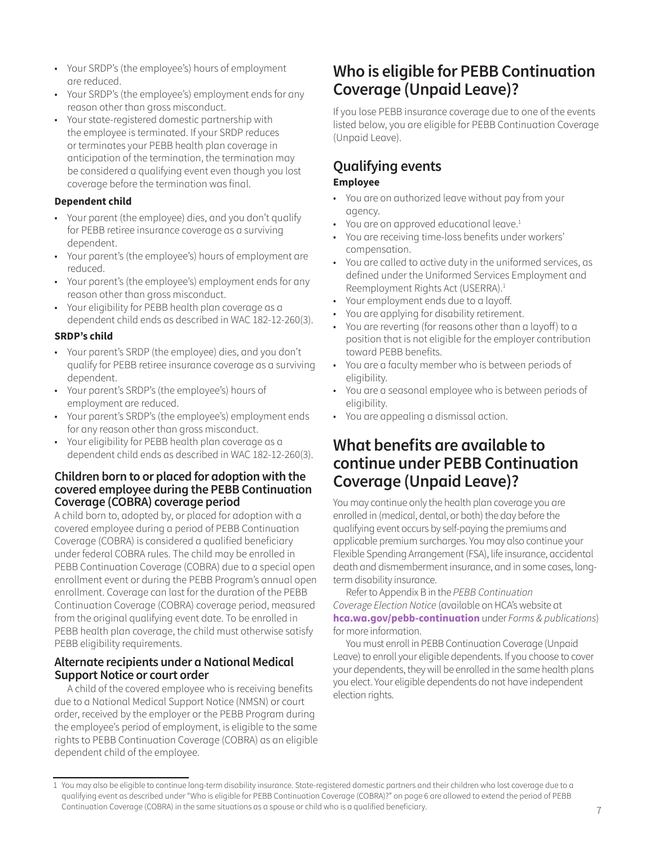- <span id="page-6-0"></span>• Your SRDP's (the employee's) hours of employment are reduced.
- Your SRDP's (the employee's) employment ends for any reason other than gross misconduct.
- Your state-registered domestic partnership with the employee is terminated. If your SRDP reduces or terminates your PEBB health plan coverage in anticipation of the termination, the termination may be considered a qualifying event even though you lost coverage before the termination was final.

#### **Dependent child**

- Your parent (the employee) dies, and you don't qualify for PEBB retiree insurance coverage as a surviving dependent.
- Your parent's (the employee's) hours of employment are reduced.
- Your parent's (the employee's) employment ends for any reason other than gross misconduct.
- Your eligibility for PEBB health plan coverage as a dependent child ends as described in WAC 182-12-260(3).

#### **SRDP's child**

- Your parent's SRDP (the employee) dies, and you don't qualify for PEBB retiree insurance coverage as a surviving dependent.
- Your parent's SRDP's (the employee's) hours of employment are reduced.
- Your parent's SRDP's (the employee's) employment ends for any reason other than gross misconduct.
- Your eligibility for PEBB health plan coverage as a dependent child ends as described in WAC 182-12-260(3).

### **Children born to or placed for adoption with the covered employee during the PEBB Continuation Coverage (COBRA) coverage period**

A child born to, adopted by, or placed for adoption with a covered employee during a period of PEBB Continuation Coverage (COBRA) is considered a qualified beneficiary under federal COBRA rules. The child may be enrolled in PEBB Continuation Coverage (COBRA) due to a special open enrollment event or during the PEBB Program's annual open enrollment. Coverage can last for the duration of the PEBB Continuation Coverage (COBRA) coverage period, measured from the original qualifying event date. To be enrolled in PEBB health plan coverage, the child must otherwise satisfy PEBB eligibility requirements.

### **Alternate recipients under a National Medical Support Notice or court order**

A child of the covered employee who is receiving benefits due to a National Medical Support Notice (NMSN) or court order, received by the employer or the PEBB Program during the employee's period of employment, is eligible to the same rights to PEBB Continuation Coverage (COBRA) as an eligible dependent child of the employee.

### **Who is eligible for PEBB Continuation Coverage (Unpaid Leave)?**

If you lose PEBB insurance coverage due to one of the events listed below, you are eligible for PEBB Continuation Coverage (Unpaid Leave).

### **Qualifying events Employee**

- You are on authorized leave without pay from your agency.
- You are on approved educational leave.<sup>[1](#page-6-1)</sup>
- You are receiving time-loss benefits under workers' compensation.
- You are called to active duty in the uniformed services, as defined under the Uniformed Services Employment and Reemployment Rights Act (USERRA).[1](#page-6-1)
- Your employment ends due to a layoff.
- You are applying for disability retirement.
- You are reverting (for reasons other than a layoff) to a position that is not eligible for the employer contribution toward PEBB benefits.
- You are a faculty member who is between periods of eligibility.
- You are a seasonal employee who is between periods of eligibility.
- You are appealing a dismissal action.

### **What benefits are available to continue under PEBB Continuation Coverage (Unpaid Leave)?**

You may continue only the health plan coverage you are enrolled in (medical, dental, or both) the day before the qualifying event occurs by self-paying the premiums and applicable premium surcharges. You may also continue your Flexible Spending Arrangement (FSA), life insurance, accidental death and dismemberment insurance, and in some cases, longterm disability insurance.

Refer to Appendix B in the *PEBB Continuation Coverage Election Notice* (available on HCA's website at **[hca.wa.gov/pebb-continuation](http://hca.wa.gov/pebb-continuation)** under *Forms & publications*) for more information.

You must enroll in PEBB Continuation Coverage (Unpaid Leave) to enroll your eligible dependents. If you choose to cover your dependents, they will be enrolled in the same health plans you elect. Your eligible dependents do not have independent election rights.

<span id="page-6-1"></span><sup>1</sup> You may also be eligible to continue long-term disability insurance. State-registered domestic partners and their children who lost coverage due to a qualifying event as described under "Who is eligible for PEBB Continuation Coverage (COBRA)?" on page 6 are allowed to extend the period of PEBB Continuation Coverage (COBRA) in the same situations as a spouse or child who is a qualified beneficiary.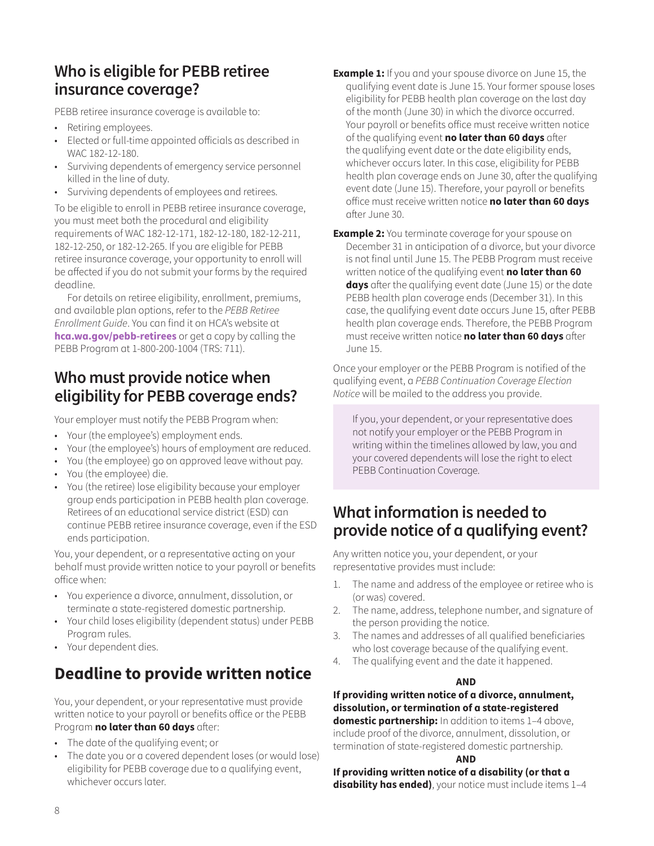### <span id="page-7-0"></span>**Who is eligible for PEBB retiree insurance coverage?**

PEBB retiree insurance coverage is available to:

- Retiring employees.
- Elected or full-time appointed officials as described in WAC 182-12-180.
- Surviving dependents of emergency service personnel killed in the line of duty.
- Surviving dependents of employees and retirees.

To be eligible to enroll in PEBB retiree insurance coverage, you must meet both the procedural and eligibility requirements of WAC 182-12-171, 182-12-180, 182-12-211, 182-12-250, or 182-12-265. If you are eligible for PEBB retiree insurance coverage, your opportunity to enroll will be affected if you do not submit your forms by the required deadline.

For details on retiree eligibility, enrollment, premiums, and available plan options, refer to the *PEBB Retiree Enrollment Guide*. You can find it on HCA's website at **[hca.wa.gov/pebb-retirees](http://hca.wa.gov/pebb-retirees)** or get a copy by calling the PEBB Program at 1-800-200-1004 (TRS: 711).

### **Who must provide notice when eligibility for PEBB coverage ends?**

Your employer must notify the PEBB Program when:

- Your (the employee's) employment ends.
- Your (the employee's) hours of employment are reduced.
- You (the employee) go on approved leave without pay.
- You (the employee) die.
- You (the retiree) lose eligibility because your employer group ends participation in PEBB health plan coverage. Retirees of an educational service district (ESD) can continue PEBB retiree insurance coverage, even if the ESD ends participation.

You, your dependent, or a representative acting on your behalf must provide written notice to your payroll or benefits office when:

- You experience a divorce, annulment, dissolution, or terminate a state-registered domestic partnership.
- Your child loses eligibility (dependent status) under PEBB Program rules.
- Your dependent dies.

## **Deadline to provide written notice**

You, your dependent, or your representative must provide written notice to your payroll or benefits office or the PEBB Program **no later than 60 days** after:

- The date of the qualifying event; or
- The date you or a covered dependent loses (or would lose) eligibility for PEBB coverage due to a qualifying event, whichever occurs later.
- **Example 1:** If you and your spouse divorce on June 15, the qualifying event date is June 15. Your former spouse loses eligibility for PEBB health plan coverage on the last day of the month (June 30) in which the divorce occurred. Your payroll or benefits office must receive written notice of the qualifying event **no later than 60 days** after the qualifying event date or the date eligibility ends, whichever occurs later. In this case, eligibility for PEBB health plan coverage ends on June 30, after the qualifying event date (June 15). Therefore, your payroll or benefits office must receive written notice **no later than 60 days** after June 30.
- **Example 2:** You terminate coverage for your spouse on December 31 in anticipation of a divorce, but your divorce is not final until June 15. The PEBB Program must receive written notice of the qualifying event **no later than 60 days** after the qualifying event date (June 15) or the date PEBB health plan coverage ends (December 31). In this case, the qualifying event date occurs June 15, after PEBB health plan coverage ends. Therefore, the PEBB Program must receive written notice **no later than 60 days** after June 15.

Once your employer or the PEBB Program is notified of the qualifying event, a *PEBB Continuation Coverage Election Notice* will be mailed to the address you provide.

If you, your dependent, or your representative does not notify your employer or the PEBB Program in writing within the timelines allowed by law, you and your covered dependents will lose the right to elect PEBB Continuation Coverage.

### **What information is needed to provide notice of a qualifying event?**

Any written notice you, your dependent, or your representative provides must include:

- 1. The name and address of the employee or retiree who is (or was) covered.
- 2. The name, address, telephone number, and signature of the person providing the notice.
- 3. The names and addresses of all qualified beneficiaries who lost coverage because of the qualifying event.
- 4. The qualifying event and the date it happened.

#### **AND**

**If providing written notice of a divorce, annulment, dissolution, or termination of a state-registered domestic partnership:** In addition to items 1-4 above, include proof of the divorce, annulment, dissolution, or termination of state-registered domestic partnership.

#### **AND**

**If providing written notice of a disability (or that a disability has ended)**, your notice must include items 1–4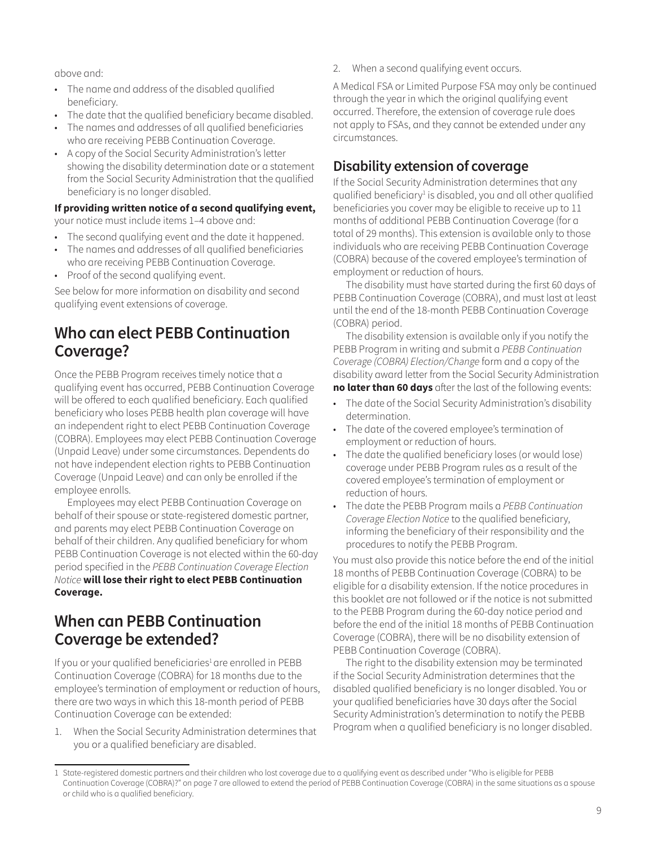<span id="page-8-0"></span>above and:

- The name and address of the disabled qualified beneficiary.
- The date that the qualified beneficiary became disabled.
- The names and addresses of all qualified beneficiaries who are receiving PEBB Continuation Coverage.
- A copy of the Social Security Administration's letter showing the disability determination date or a statement from the Social Security Administration that the qualified beneficiary is no longer disabled.

### **If providing written notice of a second qualifying event,**

your notice must include items 1–4 above and:

- The second qualifying event and the date it happened.
- The names and addresses of all qualified beneficiaries who are receiving PEBB Continuation Coverage.
- Proof of the second qualifying event.

See below for more information on disability and second qualifying event extensions of coverage.

### **Who can elect PEBB Continuation Coverage?**

Once the PEBB Program receives timely notice that a qualifying event has occurred, PEBB Continuation Coverage will be offered to each qualified beneficiary. Each qualified beneficiary who loses PEBB health plan coverage will have an independent right to elect PEBB Continuation Coverage (COBRA). Employees may elect PEBB Continuation Coverage (Unpaid Leave) under some circumstances. Dependents do not have independent election rights to PEBB Continuation Coverage (Unpaid Leave) and can only be enrolled if the employee enrolls.

Employees may elect PEBB Continuation Coverage on behalf of their spouse or state-registered domestic partner, and parents may elect PEBB Continuation Coverage on behalf of their children. Any qualified beneficiary for whom PEBB Continuation Coverage is not elected within the 60-day period specified in the *PEBB Continuation Coverage Election Notice* **will lose their right to elect PEBB Continuation Coverage.**

### **When can PEBB Continuation Coverage be extended?**

If you or your qualified beneficiaries<sup>[1](#page-8-1)</sup> are enrolled in PEBB Continuation Coverage (COBRA) for 18 months due to the employee's termination of employment or reduction of hours, there are two ways in which this 18-month period of PEBB Continuation Coverage can be extended:

1. When the Social Security Administration determines that you or a qualified beneficiary are disabled.

2. When a second qualifying event occurs.

A Medical FSA or Limited Purpose FSA may only be continued through the year in which the original qualifying event occurred. Therefore, the extension of coverage rule does not apply to FSAs, and they cannot be extended under any circumstances.

### **Disability extension of coverage**

If the Social Security Administration determines that any qualified beneficiary<sup>[1](#page-8-1)</sup> is disabled, you and all other qualified beneficiaries you cover may be eligible to receive up to 11 months of additional PEBB Continuation Coverage (for a total of 29 months). This extension is available only to those individuals who are receiving PEBB Continuation Coverage (COBRA) because of the covered employee's termination of employment or reduction of hours.

The disability must have started during the first 60 days of PEBB Continuation Coverage (COBRA), and must last at least until the end of the 18-month PEBB Continuation Coverage (COBRA) period.

The disability extension is available only if you notify the PEBB Program in writing and submit a *PEBB Continuation Coverage (COBRA) Election/Change* form and a copy of the disability award letter from the Social Security Administration **no later than 60 days** after the last of the following events:

- The date of the Social Security Administration's disability determination.
- The date of the covered employee's termination of employment or reduction of hours.
- The date the qualified beneficiary loses (or would lose) coverage under PEBB Program rules as a result of the covered employee's termination of employment or reduction of hours.
- The date the PEBB Program mails a *PEBB Continuation Coverage Election Notice* to the qualified beneficiary, informing the beneficiary of their responsibility and the procedures to notify the PEBB Program.

You must also provide this notice before the end of the initial 18 months of PEBB Continuation Coverage (COBRA) to be eligible for a disability extension. If the notice procedures in this booklet are not followed or if the notice is not submitted to the PEBB Program during the 60-day notice period and before the end of the initial 18 months of PEBB Continuation Coverage (COBRA), there will be no disability extension of PEBB Continuation Coverage (COBRA).

The right to the disability extension may be terminated if the Social Security Administration determines that the disabled qualified beneficiary is no longer disabled. You or your qualified beneficiaries have 30 days after the Social Security Administration's determination to notify the PEBB Program when a qualified beneficiary is no longer disabled.

<span id="page-8-1"></span><sup>1</sup> State-registered domestic partners and their children who lost coverage due to a qualifying event as described under "Who is eligible for PEBB Continuation Coverage (COBRA)?" on page 7 are allowed to extend the period of PEBB Continuation Coverage (COBRA) in the same situations as a spouse or child who is a qualified beneficiary.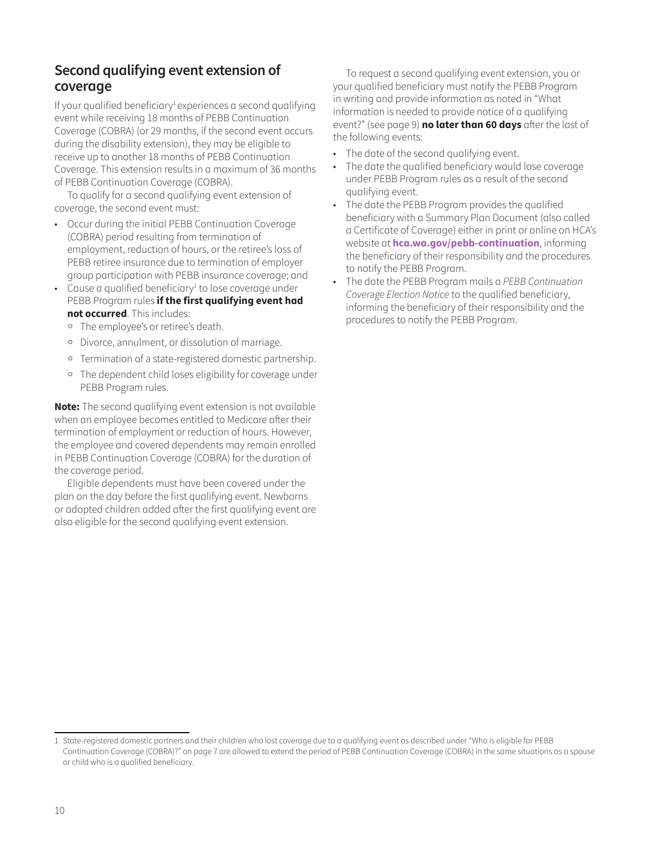### **Second qualifying event extension of coverage**

If your qualified beneficiary<sup>[1](#page-8-1)</sup> experiences a second qualifying event while receiving 18 months of PEBB Continuation Coverage (COBRA) (or 29 months, if the second event occurs during the disability extension), they may be eligible to receive up to another 18 months of PEBB Continuation Coverage. This extension results in a maximum of 36 months of PEBB Continuation Coverage (COBRA).

To qualify for a second qualifying event extension of coverage, the second event must:

- Occur during the initial PEBB Continuation Coverage (COBRA) period resulting from termination of employment, reduction of hours, or the retiree's loss of PEBB retiree insurance due to termination of employer group participation with PEBB insurance coverage; and
- $\bullet$  Cause a qualified beneficiary<sup>[1](#page-8-1)</sup> to lose coverage under PEBB Program rules **if the first qualifying event had not occurred**. This includes:
	- ⸰ The employee's or retiree's death.
	- ⸰ Divorce, annulment, or dissolution of marriage.
	- ⸰ Termination of a state-registered domestic partnership.
	- ⸰ The dependent child loses eligibility for coverage under PEBB Program rules.

**Note:** The second qualifying event extension is not available when an employee becomes entitled to Medicare after their termination of employment or reduction of hours. However, the employee and covered dependents may remain enrolled in PEBB Continuation Coverage (COBRA) for the duration of the coverage period.

Eligible dependents must have been covered under the plan on the day before the first qualifying event. Newborns or adopted children added after the first qualifying event are also eligible for the second qualifying event extension.

To request a second qualifying event extension, you or your qualified beneficiary must notify the PEBB Program in writing and provide information as noted in "What information is needed to provide notice of a qualifying event?" (see page 9) **no later than 60 days** after the last of the following events:

- The date of the second qualifying event.
- The date the qualified beneficiary would lose coverage under PEBB Program rules as a result of the second qualifying event.
- The date the PEBB Program provides the qualified beneficiary with a Summary Plan Document (also called a Certificate of Coverage) either in print or online on HCA's website at **[hca.wa.gov/pebb-continuation](http://hca.wa.gov/pebb-continuation)**, informing the beneficiary of their responsibility and the procedures to notify the PEBB Program.
- The date the PEBB Program mails a *PEBB Continuation Coverage Election Notice* to the qualified beneficiary, informing the beneficiary of their responsibility and the procedures to notify the PEBB Program.

<sup>1</sup> State-registered domestic partners and their children who lost coverage due to a qualifying event as described under "Who is eligible for PEBB Continuation Coverage (COBRA)?" on page 7 are allowed to extend the period of PEBB Continuation Coverage (COBRA) in the same situations as a spouse or child who is a qualified beneficiary.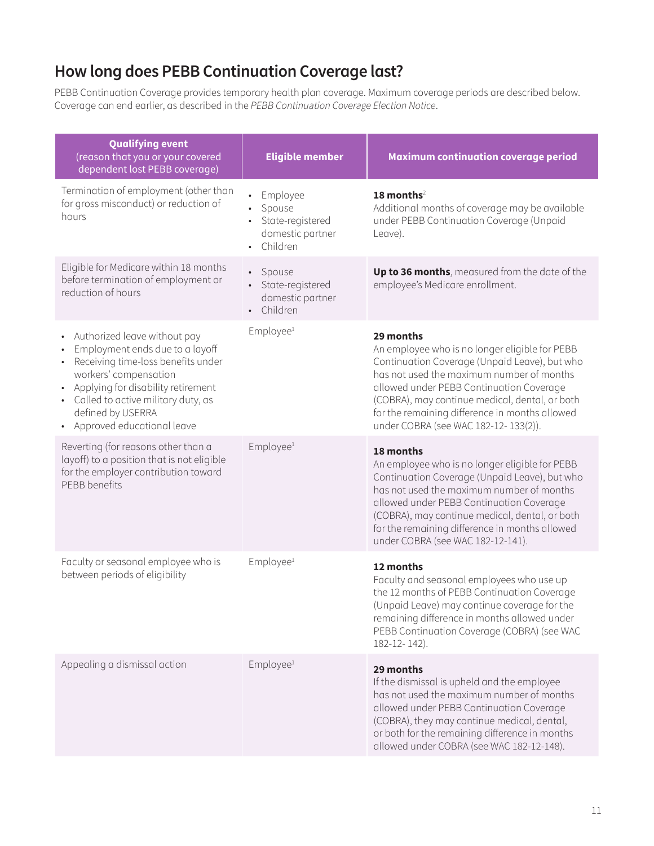### <span id="page-10-0"></span>**How long does PEBB Continuation Coverage last?**

PEBB Continuation Coverage provides temporary health plan coverage. Maximum coverage periods are described below. Coverage can end earlier, as described in the *PEBB Continuation Coverage Election Notice*.

| <b>Qualifying event</b><br>(reason that you or your covered<br>dependent lost PEBB coverage)                                                                                                                                                                                                                                   | <b>Eligible member</b>                                                 | <b>Maximum continuation coverage period</b>                                                                                                                                                                                                                                                                                                       |
|--------------------------------------------------------------------------------------------------------------------------------------------------------------------------------------------------------------------------------------------------------------------------------------------------------------------------------|------------------------------------------------------------------------|---------------------------------------------------------------------------------------------------------------------------------------------------------------------------------------------------------------------------------------------------------------------------------------------------------------------------------------------------|
| Termination of employment (other than<br>for gross misconduct) or reduction of<br>hours                                                                                                                                                                                                                                        | Employee<br>Spouse<br>State-registered<br>domestic partner<br>Children | 18 months <sup>2</sup><br>Additional months of coverage may be available<br>under PEBB Continuation Coverage (Unpaid<br>Leave).                                                                                                                                                                                                                   |
| Eligible for Medicare within 18 months<br>before termination of employment or<br>reduction of hours                                                                                                                                                                                                                            | • Spouse<br>• State-registered<br>domestic partner<br>• Children       | Up to 36 months, measured from the date of the<br>employee's Medicare enrollment.                                                                                                                                                                                                                                                                 |
| Authorized leave without pay<br>$\bullet$<br>Employment ends due to a layoff<br>$\bullet$<br>Receiving time-loss benefits under<br>$\bullet$<br>workers' compensation<br>Applying for disability retirement<br>Called to active military duty, as<br>$\bullet$<br>defined by USERRA<br>Approved educational leave<br>$\bullet$ | Employee <sup>1</sup>                                                  | 29 months<br>An employee who is no longer eligible for PEBB<br>Continuation Coverage (Unpaid Leave), but who<br>has not used the maximum number of months<br>allowed under PEBB Continuation Coverage<br>(COBRA), may continue medical, dental, or both<br>for the remaining difference in months allowed<br>under COBRA (see WAC 182-12-133(2)). |
| Reverting (for reasons other than a<br>layoff) to a position that is not eligible<br>for the employer contribution toward<br>PEBB benefits                                                                                                                                                                                     | Employee <sup>1</sup>                                                  | 18 months<br>An employee who is no longer eligible for PEBB<br>Continuation Coverage (Unpaid Leave), but who<br>has not used the maximum number of months<br>allowed under PEBB Continuation Coverage<br>(COBRA), may continue medical, dental, or both<br>for the remaining difference in months allowed<br>under COBRA (see WAC 182-12-141).    |
| Faculty or seasonal employee who is<br>between periods of eligibility                                                                                                                                                                                                                                                          | Employee <sup>1</sup>                                                  | 12 months<br>Faculty and seasonal employees who use up<br>the 12 months of PEBB Continuation Coverage<br>(Unpaid Leave) may continue coverage for the<br>remaining difference in months allowed under<br>PEBB Continuation Coverage (COBRA) (see WAC<br>182-12-142).                                                                              |
| Appealing a dismissal action                                                                                                                                                                                                                                                                                                   | Employee <sup>1</sup>                                                  | 29 months<br>If the dismissal is upheld and the employee<br>has not used the maximum number of months<br>allowed under PEBB Continuation Coverage<br>(COBRA), they may continue medical, dental,<br>or both for the remaining difference in months<br>allowed under COBRA (see WAC 182-12-148).                                                   |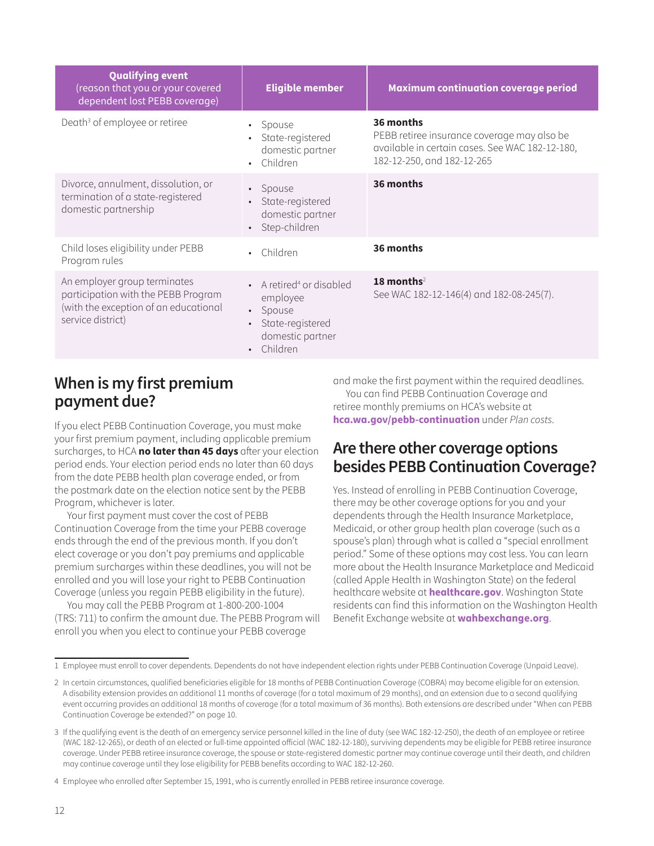<span id="page-11-0"></span>

| <b>Qualifying event</b><br>(reason that you or your covered<br>dependent lost PEBB coverage)                                      | <b>Eligible member</b>                                                                                                        | <b>Maximum continuation coverage period</b>                                                                                               |
|-----------------------------------------------------------------------------------------------------------------------------------|-------------------------------------------------------------------------------------------------------------------------------|-------------------------------------------------------------------------------------------------------------------------------------------|
| Death <sup>3</sup> of employee or retiree                                                                                         | Spouse<br>$\bullet$<br>State-registered<br>domestic partner<br>• Children                                                     | 36 months<br>PEBB retiree insurance coverage may also be<br>available in certain cases. See WAC 182-12-180,<br>182-12-250, and 182-12-265 |
| Divorce, annulment, dissolution, or<br>termination of a state-registered<br>domestic partnership                                  | • Spouse<br>State-registered<br>domestic partner<br>Step-children                                                             | 36 months                                                                                                                                 |
| Child loses eligibility under PEBB<br>Program rules                                                                               | • Children                                                                                                                    | 36 months                                                                                                                                 |
| An employer group terminates<br>participation with the PEBB Program<br>(with the exception of an educational<br>service district) | • A retired <sup>4</sup> or disabled<br>employee<br>• Spouse<br>State-registered<br>domestic partner<br>Children<br>$\bullet$ | 18 months <sup>2</sup><br>See WAC 182-12-146(4) and 182-08-245(7).                                                                        |

### **When is my first premium payment due?**

If you elect PEBB Continuation Coverage, you must make your first premium payment, including applicable premium surcharges, to HCA **no later than 45 days** after your election period ends. Your election period ends no later than 60 days from the date PEBB health plan coverage ended, or from the postmark date on the election notice sent by the PEBB Program, whichever is later.

Your first payment must cover the cost of PEBB Continuation Coverage from the time your PEBB coverage ends through the end of the previous month. If you don't elect coverage or you don't pay premiums and applicable premium surcharges within these deadlines, you will not be enrolled and you will lose your right to PEBB Continuation Coverage (unless you regain PEBB eligibility in the future).

You may call the PEBB Program at 1-800-200-1004 (TRS: 711) to confirm the amount due. The PEBB Program will enroll you when you elect to continue your PEBB coverage

and make the first payment within the required deadlines. You can find PEBB Continuation Coverage and retiree monthly premiums on HCA's website at **[hca.wa.gov/pebb-continuation](http://hca.wa.gov/pebb-continuation)** under *Plan costs*.

### **Are there other coverage options besides PEBB Continuation Coverage?**

Yes. Instead of enrolling in PEBB Continuation Coverage, there may be other coverage options for you and your dependents through the Health Insurance Marketplace, Medicaid, or other group health plan coverage (such as a spouse's plan) through what is called a "special enrollment period." Some of these options may cost less. You can learn more about the Health Insurance Marketplace and Medicaid (called Apple Health in Washington State) on the federal healthcare website at **[healthcare.gov](http://healthcare.gov)**. Washington State residents can find this information on the Washington Health Benefit Exchange website at **[wahbexchange.org](http://wahbexchange.org)**.

<span id="page-11-2"></span><sup>1</sup> Employee must enroll to cover dependents. Dependents do not have independent election rights under PEBB Continuation Coverage (Unpaid Leave).

<span id="page-11-1"></span><sup>2</sup> In certain circumstances, qualified beneficiaries eligible for 18 months of PEBB Continuation Coverage (COBRA) may become eligible for an extension. A disability extension provides an additional 11 months of coverage (for a total maximum of 29 months), and an extension due to a second qualifying event occurring provides an additional 18 months of coverage (for a total maximum of 36 months). Both extensions are described under "When can PEBB Continuation Coverage be extended?" on page 10.

<span id="page-11-3"></span><sup>3</sup> If the qualifying event is the death of an emergency service personnel killed in the line of duty (see WAC 182-12-250), the death of an employee or retiree (WAC 182-12-265), or death of an elected or full-time appointed official (WAC 182-12-180), surviving dependents may be eligible for PEBB retiree insurance coverage. Under PEBB retiree insurance coverage, the spouse or state-registered domestic partner may continue coverage until their death, and children may continue coverage until they lose eligibility for PEBB benefits according to WAC 182-12-260.

<span id="page-11-4"></span><sup>4</sup> Employee who enrolled after September 15, 1991, who is currently enrolled in PEBB retiree insurance coverage.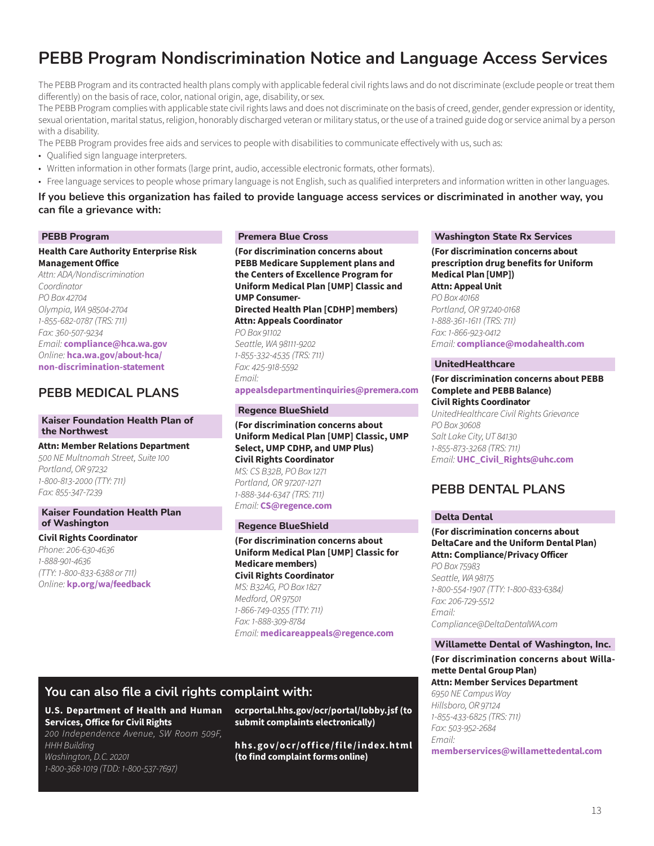## **PEBB Program Nondiscrimination Notice and Language Access Services**

The PEBB Program and its contracted health plans comply with applicable federal civil rights laws and do not discriminate (exclude people or treat them differently) on the basis of race, color, national origin, age, disability, or sex.

The PEBB Program complies with applicable state civil rights laws and does not discriminate on the basis of creed, gender, gender expression or identity, sexual orientation, marital status, religion, honorably discharged veteran or military status, or the use of a trained guide dog or service animal by a person with a disability.

The PEBB Program provides free aids and services to people with disabilities to communicate effectively with us, such as:

- Qualified sign language interpreters.
- Written information in other formats (large print, audio, accessible electronic formats, other formats).
- Free language services to people whose primary language is not English, such as qualified interpreters and information written in other languages.

#### **If you believe this organization has failed to provide language access services or discriminated in another way, you can file a grievance with:**

#### **PEBB Program**

**Health Care Authority Enterprise Risk Management Office** *Attn: ADA/Nondiscrimination Coordinator PO Box 42704 Olympia, WA 98504-2704 1-855-682-0787 (TRS: 711) Fax: 360-507-9234 Email:* **[compliance@hca.wa.gov](http://compliance@hca.wa.gov)** *Online:* **[hca.wa.gov/about-hca/](http://hca.wa.gov/about-hca/non-discrimination-statement) [non-discrimination-statement](http://hca.wa.gov/about-hca/non-discrimination-statement)**

#### **PEBB MEDICAL PLANS**

#### **Kaiser Foundation Health Plan of the Northwest**

**Attn: Member Relations Department**  *500 NE Multnomah Street, Suite 100 Portland, OR 97232 1-800-813-2000 (TTY: 711) Fax: 855-347-7239*

#### **Kaiser Foundation Health Plan of Washington**

**Civil Rights Coordinator** 

*Phone: 206-630-4636 1-888-901-4636 (TTY: 1-800-833-6388 or 711) Online:* **[kp.org/wa/feedback](http://kp.org/wa/feedback)**

#### **Premera Blue Cross**

**(For discrimination concerns about PEBB Medicare Supplement plans and the Centers of Excellence Program for Uniform Medical Plan [UMP] Classic and UMP Consumer-Directed Health Plan [CDHP] members) Attn: Appeals Coordinator** *PO Box 91102 Seattle, WA 98111-9202 1-855-332-4535 (TRS: 711) Fax: 425-918-5592 Email:*  **a[ppealsdepartmentinquiries@premera.com](http://AppealsDepartmentInquiries@Premera.com)**

#### **Regence BlueShield**

**(For discrimination concerns about Uniform Medical Plan [UMP] Classic, UMP Select, UMP CDHP, and UMP Plus) Civil Rights Coordinator**  *MS: CS B32B, PO Box 1271 Portland, OR 97207-1271 1-888-344-6347 (TRS: 711) Email:* **[CS@regence.com](http://CS@regence.com)**

#### **Regence BlueShield**

**(For discrimination concerns about Uniform Medical Plan [UMP] Classic for Medicare members) Civil Rights Coordinator**  *MS: B32AG, PO Box 1827 Medford, OR 97501 1-866-749-0355 (TTY: 711) Fax: 1-888-309-8784 Email:* **[medicareappeals@regence.com](http://medicareappeals@regence.com)**

#### **You can also file a civil rights complaint with:**

**U.S. Department of Health and Human Services, Office for Civil Rights** 

*200 Independence Avenue, SW Room 509F, HHH Building Washington, D.C. 20201 1-800-368-1019 (TDD: 1-800-537-7697)* 

**[ocrportal.hhs.gov/ocr/portal/lobby.jsf](http://ocrportal.hhs.gov/ocr/portal/lobby.jsf) (to submit complaints electronically)** 

**[hhs.gov/ocr/office/file/index.html](http://hhs.gov/ocr/office/file/index.html) (to find complaint forms online)**

#### **Washington State Rx Services**

**(For discrimination concerns about prescription drug benefits for Uniform Medical Plan [UMP]) Attn: Appeal Unit** *PO Box 40168 Portland, OR 97240-0168 1-888-361-1611 (TRS: 711) Fax: 1-866-923-0412 Email:* **[compliance@modahealth.com](http://compliance@modahealth.com)**

#### **UnitedHealthcare**

**(For discrimination concerns about PEBB Complete and PEBB Balance) Civil Rights Coordinator** *UnitedHealthcare Civil Rights Grievance PO Box 30608 Salt Lake City, UT 84130 1-855-873-3268 (TRS: 711) Email:* **[UHC\\_Civil\\_Rights@uhc.com](http://UHC_Civil_Rights@uhc.com)**

### **PEBB DENTAL PLANS**

#### **Delta Dental**

**(For discrimination concerns about DeltaCare and the Uniform Dental Plan) Attn: Compliance/Privacy Officer**  *PO Box 75983 Seattle, WA 98175 1-800-554-1907 (TTY: 1-800-833-6384) Fax: 206-729-5512 Email: [Compliance@DeltaDentalWA.com](http://Compliance@DeltaDentalWA.com)*

#### **Willamette Dental of Washington, Inc.**

#### **(For discrimination concerns about Willamette Dental Group Plan) Attn: Member Services Department**

*6950 NE Campus Way Hillsboro, OR 97124 1-855-433-6825 (TRS: 711) Fax: 503-952-2684 Email:*  **[memberservices@willamettedental.com](http://memberservices@willamettedental.com)**